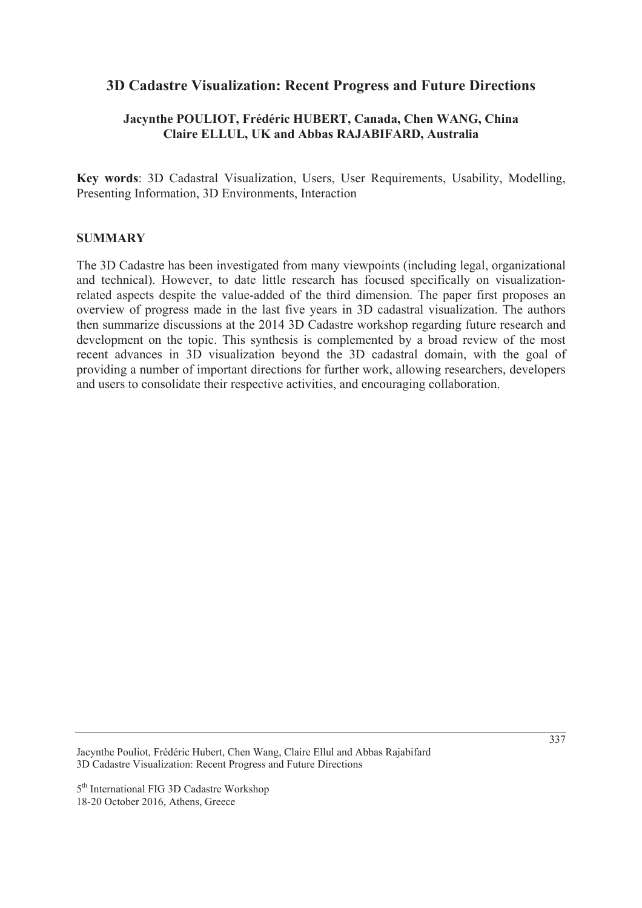# **3D Cadastre Visualization: Recent Progress and Future Directions**

# **Jacynthe POULIOT, Frédéric HUBERT, Canada, Chen WANG, China Claire ELLUL, UK and Abbas RAJABIFARD, Australia**

**Key words**: 3D Cadastral Visualization, Users, User Requirements, Usability, Modelling, Presenting Information, 3D Environments, Interaction

#### **SUMMARY**

The 3D Cadastre has been investigated from many viewpoints (including legal, organizational and technical). However, to date little research has focused specifically on visualizationrelated aspects despite the value-added of the third dimension. The paper first proposes an overview of progress made in the last five years in 3D cadastral visualization. The authors then summarize discussions at the 2014 3D Cadastre workshop regarding future research and development on the topic. This synthesis is complemented by a broad review of the most recent advances in 3D visualization beyond the 3D cadastral domain, with the goal of providing a number of important directions for further work, allowing researchers, developers and users to consolidate their respective activities, and encouraging collaboration.

Jacynthe Pouliot, Frédéric Hubert, Chen Wang, Claire Ellul and Abbas Rajabifard 3D Cadastre Visualization: Recent Progress and Future Directions

<sup>5&</sup>lt;sup>th</sup> International FIG 3D Cadastre Workshop 18-20 October 2016, Athens, Greece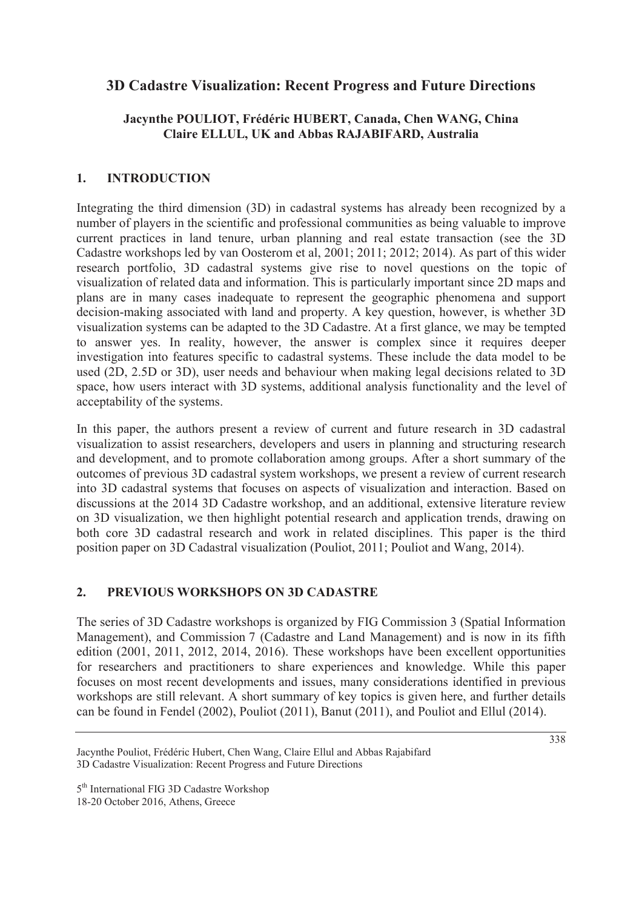# **3D Cadastre Visualization: Recent Progress and Future Directions**

# **Jacynthe POULIOT, Frédéric HUBERT, Canada, Chen WANG, China Claire ELLUL, UK and Abbas RAJABIFARD, Australia**

### **1. INTRODUCTION**

Integrating the third dimension (3D) in cadastral systems has already been recognized by a number of players in the scientific and professional communities as being valuable to improve current practices in land tenure, urban planning and real estate transaction (see the 3D Cadastre workshops led by van Oosterom et al, 2001; 2011; 2012; 2014). As part of this wider research portfolio, 3D cadastral systems give rise to novel questions on the topic of visualization of related data and information. This is particularly important since 2D maps and plans are in many cases inadequate to represent the geographic phenomena and support decision-making associated with land and property. A key question, however, is whether 3D visualization systems can be adapted to the 3D Cadastre. At a first glance, we may be tempted to answer yes. In reality, however, the answer is complex since it requires deeper investigation into features specific to cadastral systems. These include the data model to be used (2D, 2.5D or 3D), user needs and behaviour when making legal decisions related to 3D space, how users interact with 3D systems, additional analysis functionality and the level of acceptability of the systems.

In this paper, the authors present a review of current and future research in 3D cadastral visualization to assist researchers, developers and users in planning and structuring research and development, and to promote collaboration among groups. After a short summary of the outcomes of previous 3D cadastral system workshops, we present a review of current research into 3D cadastral systems that focuses on aspects of visualization and interaction. Based on discussions at the 2014 3D Cadastre workshop, and an additional, extensive literature review on 3D visualization, we then highlight potential research and application trends, drawing on both core 3D cadastral research and work in related disciplines. This paper is the third position paper on 3D Cadastral visualization (Pouliot, 2011; Pouliot and Wang, 2014).

#### **2. PREVIOUS WORKSHOPS ON 3D CADASTRE**

The series of 3D Cadastre workshops is organized by FIG Commission 3 (Spatial Information Management), and Commission 7 (Cadastre and Land Management) and is now in its fifth edition (2001, 2011, 2012, 2014, 2016). These workshops have been excellent opportunities for researchers and practitioners to share experiences and knowledge. While this paper focuses on most recent developments and issues, many considerations identified in previous workshops are still relevant. A short summary of key topics is given here, and further details can be found in Fendel (2002), Pouliot (2011), Banut (2011), and Pouliot and Ellul (2014).

Jacynthe Pouliot, Frédéric Hubert, Chen Wang, Claire Ellul and Abbas Rajabifard 3D Cadastre Visualization: Recent Progress and Future Directions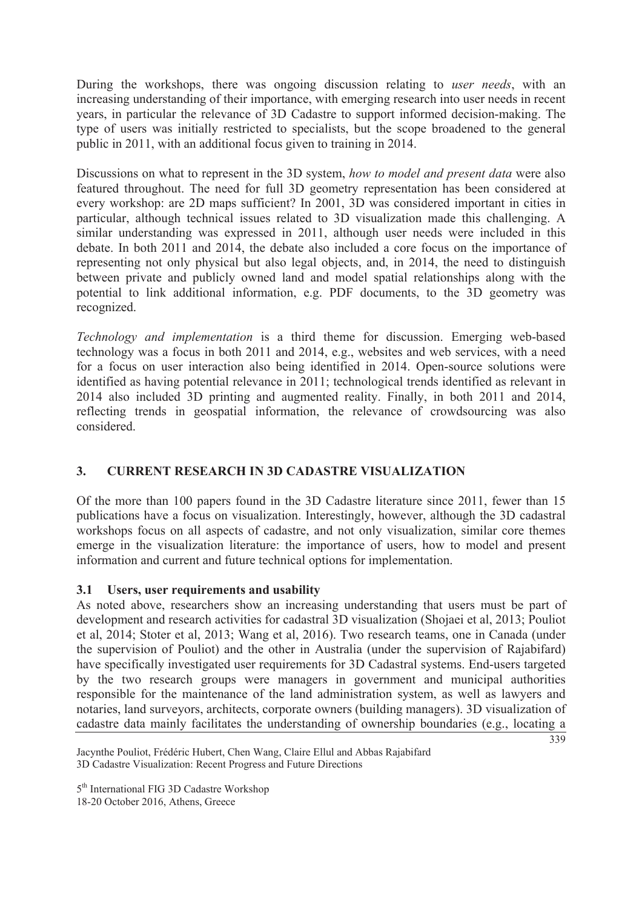During the workshops, there was ongoing discussion relating to *user needs*, with an increasing understanding of their importance, with emerging research into user needs in recent years, in particular the relevance of 3D Cadastre to support informed decision-making. The type of users was initially restricted to specialists, but the scope broadened to the general public in 2011, with an additional focus given to training in 2014.

Discussions on what to represent in the 3D system, *how to model and present data* were also featured throughout. The need for full 3D geometry representation has been considered at every workshop: are 2D maps sufficient? In 2001, 3D was considered important in cities in particular, although technical issues related to 3D visualization made this challenging. A similar understanding was expressed in 2011, although user needs were included in this debate. In both 2011 and 2014, the debate also included a core focus on the importance of representing not only physical but also legal objects, and, in 2014, the need to distinguish between private and publicly owned land and model spatial relationships along with the potential to link additional information, e.g. PDF documents, to the 3D geometry was recognized.

*Technology and implementation* is a third theme for discussion. Emerging web-based technology was a focus in both 2011 and 2014, e.g., websites and web services, with a need for a focus on user interaction also being identified in 2014. Open-source solutions were identified as having potential relevance in 2011; technological trends identified as relevant in 2014 also included 3D printing and augmented reality. Finally, in both 2011 and 2014, reflecting trends in geospatial information, the relevance of crowdsourcing was also considered.

# **3. CURRENT RESEARCH IN 3D CADASTRE VISUALIZATION**

Of the more than 100 papers found in the 3D Cadastre literature since 2011, fewer than 15 publications have a focus on visualization. Interestingly, however, although the 3D cadastral workshops focus on all aspects of cadastre, and not only visualization, similar core themes emerge in the visualization literature: the importance of users, how to model and present information and current and future technical options for implementation.

## **3.1 Users, user requirements and usability**

As noted above, researchers show an increasing understanding that users must be part of development and research activities for cadastral 3D visualization (Shojaei et al, 2013; Pouliot et al, 2014; Stoter et al, 2013; Wang et al, 2016). Two research teams, one in Canada (under the supervision of Pouliot) and the other in Australia (under the supervision of Rajabifard) have specifically investigated user requirements for 3D Cadastral systems. End-users targeted by the two research groups were managers in government and municipal authorities responsible for the maintenance of the land administration system, as well as lawyers and notaries, land surveyors, architects, corporate owners (building managers). 3D visualization of cadastre data mainly facilitates the understanding of ownership boundaries (e.g., locating a

339

Jacynthe Pouliot, Frédéric Hubert, Chen Wang, Claire Ellul and Abbas Rajabifard 3D Cadastre Visualization: Recent Progress and Future Directions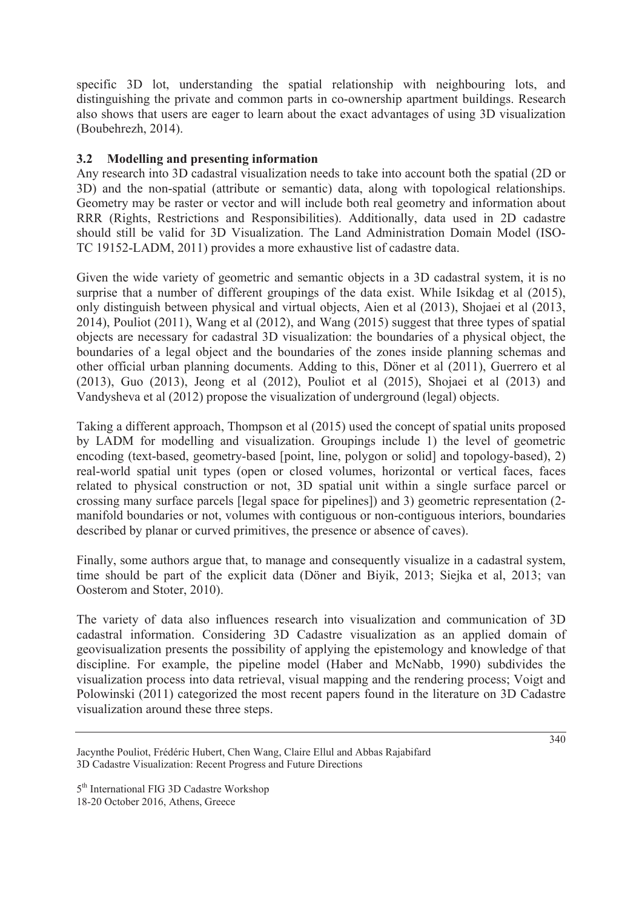specific 3D lot, understanding the spatial relationship with neighbouring lots, and distinguishing the private and common parts in co-ownership apartment buildings. Research also shows that users are eager to learn about the exact advantages of using 3D visualization (Boubehrezh, 2014).

## **3.2 Modelling and presenting information**

Any research into 3D cadastral visualization needs to take into account both the spatial (2D or 3D) and the non-spatial (attribute or semantic) data, along with topological relationships. Geometry may be raster or vector and will include both real geometry and information about RRR (Rights, Restrictions and Responsibilities). Additionally, data used in 2D cadastre should still be valid for 3D Visualization. The Land Administration Domain Model (ISO-TC 19152-LADM, 2011) provides a more exhaustive list of cadastre data.

Given the wide variety of geometric and semantic objects in a 3D cadastral system, it is no surprise that a number of different groupings of the data exist. While Isikdag et al (2015), only distinguish between physical and virtual objects, Aien et al (2013), Shojaei et al (2013, 2014), Pouliot (2011), Wang et al (2012), and Wang (2015) suggest that three types of spatial objects are necessary for cadastral 3D visualization: the boundaries of a physical object, the boundaries of a legal object and the boundaries of the zones inside planning schemas and other official urban planning documents. Adding to this, Döner et al (2011), Guerrero et al (2013), Guo (2013), Jeong et al (2012), Pouliot et al (2015), Shojaei et al (2013) and Vandysheva et al (2012) propose the visualization of underground (legal) objects.

Taking a different approach, Thompson et al (2015) used the concept of spatial units proposed by LADM for modelling and visualization. Groupings include 1) the level of geometric encoding (text-based, geometry-based [point, line, polygon or solid] and topology-based), 2) real-world spatial unit types (open or closed volumes, horizontal or vertical faces, faces related to physical construction or not, 3D spatial unit within a single surface parcel or crossing many surface parcels [legal space for pipelines]) and 3) geometric representation (2 manifold boundaries or not, volumes with contiguous or non-contiguous interiors, boundaries described by planar or curved primitives, the presence or absence of caves).

Finally, some authors argue that, to manage and consequently visualize in a cadastral system, time should be part of the explicit data (Döner and Biyik, 2013; Siejka et al, 2013; van Oosterom and Stoter, 2010).

The variety of data also influences research into visualization and communication of 3D cadastral information. Considering 3D Cadastre visualization as an applied domain of geovisualization presents the possibility of applying the epistemology and knowledge of that discipline. For example, the pipeline model (Haber and McNabb, 1990) subdivides the visualization process into data retrieval, visual mapping and the rendering process; Voigt and Polowinski (2011) categorized the most recent papers found in the literature on 3D Cadastre visualization around these three steps.

Jacynthe Pouliot, Frédéric Hubert, Chen Wang, Claire Ellul and Abbas Rajabifard 3D Cadastre Visualization: Recent Progress and Future Directions

<sup>5&</sup>lt;sup>th</sup> International FIG 3D Cadastre Workshop 18-20 October 2016, Athens, Greece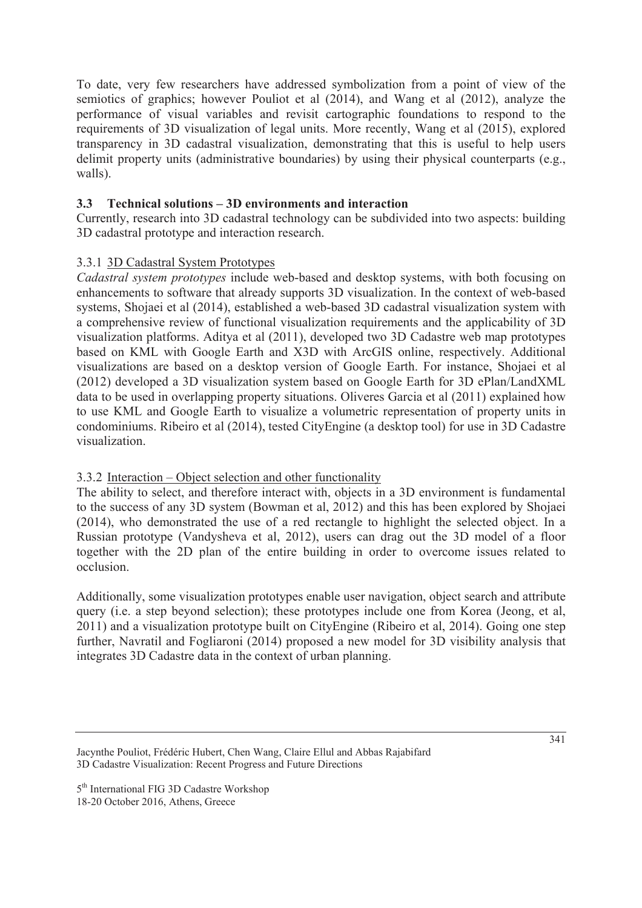To date, very few researchers have addressed symbolization from a point of view of the semiotics of graphics; however Pouliot et al (2014), and Wang et al (2012), analyze the performance of visual variables and revisit cartographic foundations to respond to the requirements of 3D visualization of legal units. More recently, Wang et al (2015), explored transparency in 3D cadastral visualization, demonstrating that this is useful to help users delimit property units (administrative boundaries) by using their physical counterparts (e.g., walls).

# **3.3 Technical solutions – 3D environments and interaction**

Currently, research into 3D cadastral technology can be subdivided into two aspects: building 3D cadastral prototype and interaction research.

## 3.3.1 3D Cadastral System Prototypes

*Cadastral system prototypes* include web-based and desktop systems, with both focusing on enhancements to software that already supports 3D visualization. In the context of web-based systems, Shojaei et al (2014), established a web-based 3D cadastral visualization system with a comprehensive review of functional visualization requirements and the applicability of 3D visualization platforms. Aditya et al (2011), developed two 3D Cadastre web map prototypes based on KML with Google Earth and X3D with ArcGIS online, respectively. Additional visualizations are based on a desktop version of Google Earth. For instance, Shojaei et al (2012) developed a 3D visualization system based on Google Earth for 3D ePlan/LandXML data to be used in overlapping property situations. Oliveres Garcia et al (2011) explained how to use KML and Google Earth to visualize a volumetric representation of property units in condominiums. Ribeiro et al (2014), tested CityEngine (a desktop tool) for use in 3D Cadastre visualization.

## 3.3.2 Interaction – Object selection and other functionality

The ability to select, and therefore interact with, objects in a 3D environment is fundamental to the success of any 3D system (Bowman et al, 2012) and this has been explored by Shojaei (2014), who demonstrated the use of a red rectangle to highlight the selected object. In a Russian prototype (Vandysheva et al, 2012), users can drag out the 3D model of a floor together with the 2D plan of the entire building in order to overcome issues related to occlusion.

Additionally, some visualization prototypes enable user navigation, object search and attribute query (i.e. a step beyond selection); these prototypes include one from Korea (Jeong, et al, 2011) and a visualization prototype built on CityEngine (Ribeiro et al, 2014). Going one step further, Navratil and Fogliaroni (2014) proposed a new model for 3D visibility analysis that integrates 3D Cadastre data in the context of urban planning.

Jacynthe Pouliot, Frédéric Hubert, Chen Wang, Claire Ellul and Abbas Rajabifard 3D Cadastre Visualization: Recent Progress and Future Directions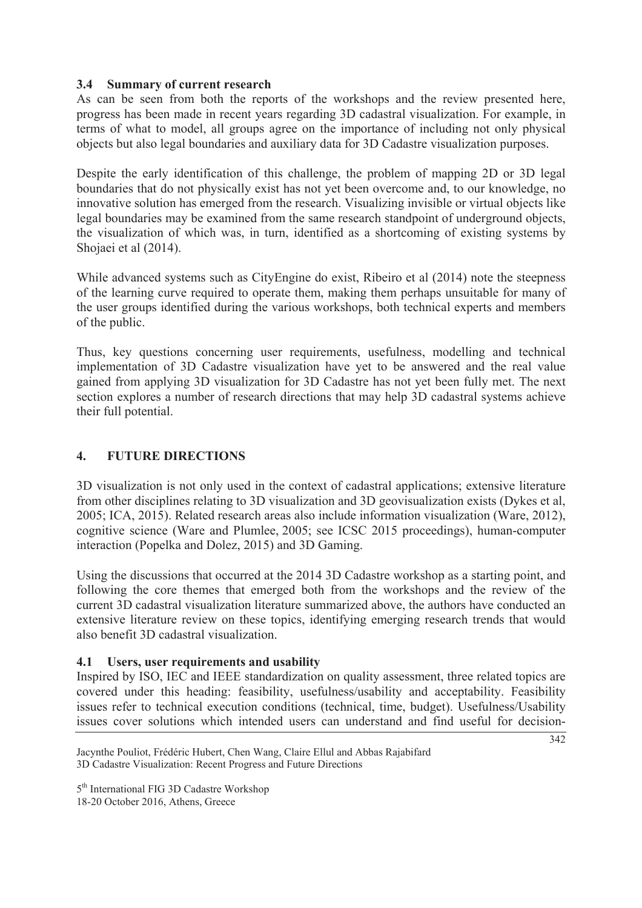#### **3.4 Summary of current research**

As can be seen from both the reports of the workshops and the review presented here, progress has been made in recent years regarding 3D cadastral visualization. For example, in terms of what to model, all groups agree on the importance of including not only physical objects but also legal boundaries and auxiliary data for 3D Cadastre visualization purposes.

Despite the early identification of this challenge, the problem of mapping 2D or 3D legal boundaries that do not physically exist has not yet been overcome and, to our knowledge, no innovative solution has emerged from the research. Visualizing invisible or virtual objects like legal boundaries may be examined from the same research standpoint of underground objects, the visualization of which was, in turn, identified as a shortcoming of existing systems by Shojaei et al (2014).

While advanced systems such as CityEngine do exist, Ribeiro et al (2014) note the steepness of the learning curve required to operate them, making them perhaps unsuitable for many of the user groups identified during the various workshops, both technical experts and members of the public.

Thus, key questions concerning user requirements, usefulness, modelling and technical implementation of 3D Cadastre visualization have yet to be answered and the real value gained from applying 3D visualization for 3D Cadastre has not yet been fully met. The next section explores a number of research directions that may help 3D cadastral systems achieve their full potential.

# **4. FUTURE DIRECTIONS**

3D visualization is not only used in the context of cadastral applications; extensive literature from other disciplines relating to 3D visualization and 3D geovisualization exists (Dykes et al, 2005; ICA, 2015). Related research areas also include information visualization (Ware, 2012), cognitive science (Ware and Plumlee, 2005; see ICSC 2015 proceedings), human-computer interaction (Popelka and Dolez, 2015) and 3D Gaming.

Using the discussions that occurred at the 2014 3D Cadastre workshop as a starting point, and following the core themes that emerged both from the workshops and the review of the current 3D cadastral visualization literature summarized above, the authors have conducted an extensive literature review on these topics, identifying emerging research trends that would also benefit 3D cadastral visualization.

## **4.1 Users, user requirements and usability**

Inspired by ISO, IEC and IEEE standardization on quality assessment, three related topics are covered under this heading: feasibility, usefulness/usability and acceptability. Feasibility issues refer to technical execution conditions (technical, time, budget). Usefulness/Usability issues cover solutions which intended users can understand and find useful for decision-

Jacynthe Pouliot, Frédéric Hubert, Chen Wang, Claire Ellul and Abbas Rajabifard 3D Cadastre Visualization: Recent Progress and Future Directions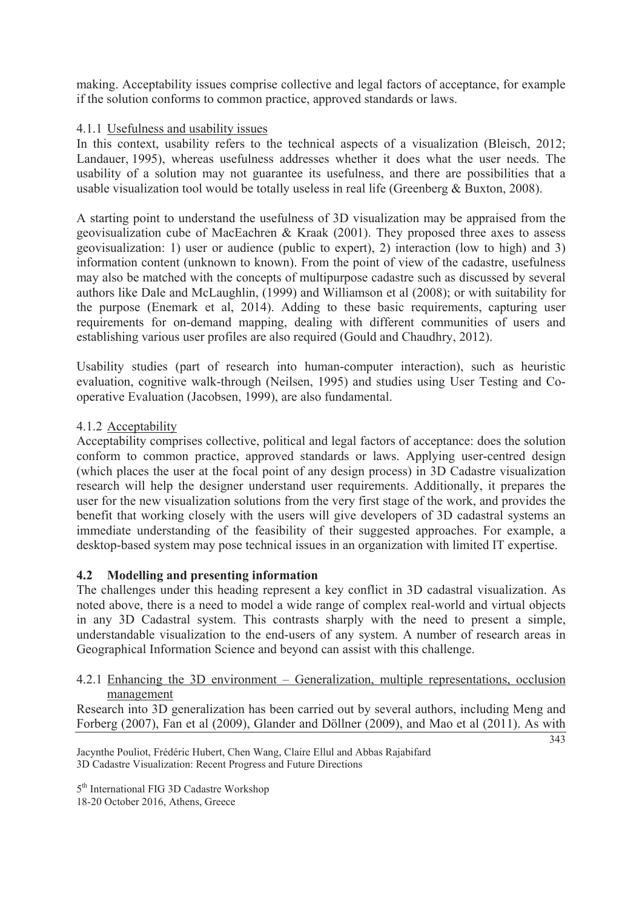making. Acceptability issues comprise collective and legal factors of acceptance, for example if the solution conforms to common practice, approved standards or laws.

## 4.1.1 Usefulness and usability issues

In this context, usability refers to the technical aspects of a visualization (Bleisch, 2012; Landauer, 1995), whereas usefulness addresses whether it does what the user needs. The usability of a solution may not guarantee its usefulness, and there are possibilities that a usable visualization tool would be totally useless in real life (Greenberg & Buxton, 2008).

A starting point to understand the usefulness of 3D visualization may be appraised from the geovisualization cube of MacEachren & Kraak (2001). They proposed three axes to assess geovisualization: 1) user or audience (public to expert), 2) interaction (low to high) and 3) information content (unknown to known). From the point of view of the cadastre, usefulness may also be matched with the concepts of multipurpose cadastre such as discussed by several authors like Dale and McLaughlin, (1999) and Williamson et al (2008); or with suitability for the purpose (Enemark et al, 2014). Adding to these basic requirements, capturing user requirements for on-demand mapping, dealing with different communities of users and establishing various user profiles are also required (Gould and Chaudhry, 2012).

Usability studies (part of research into human-computer interaction), such as heuristic evaluation, cognitive walk-through (Neilsen, 1995) and studies using User Testing and Cooperative Evaluation (Jacobsen, 1999), are also fundamental.

## 4.1.2 Acceptability

Acceptability comprises collective, political and legal factors of acceptance: does the solution conform to common practice, approved standards or laws. Applying user-centred design (which places the user at the focal point of any design process) in 3D Cadastre visualization research will help the designer understand user requirements. Additionally, it prepares the user for the new visualization solutions from the very first stage of the work, and provides the benefit that working closely with the users will give developers of 3D cadastral systems an immediate understanding of the feasibility of their suggested approaches. For example, a desktop-based system may pose technical issues in an organization with limited IT expertise.

## **4.2 Modelling and presenting information**

The challenges under this heading represent a key conflict in 3D cadastral visualization. As noted above, there is a need to model a wide range of complex real-world and virtual objects in any 3D Cadastral system. This contrasts sharply with the need to present a simple, understandable visualization to the end-users of any system. A number of research areas in Geographical Information Science and beyond can assist with this challenge.

#### 4.2.1 Enhancing the 3D environment – Generalization, multiple representations, occlusion management

Research into 3D generalization has been carried out by several authors, including Meng and Forberg (2007), Fan et al (2009), Glander and Döllner (2009), and Mao et al (2011). As with

 $\frac{1}{343}$ 

Jacynthe Pouliot, Frédéric Hubert, Chen Wang, Claire Ellul and Abbas Rajabifard 3D Cadastre Visualization: Recent Progress and Future Directions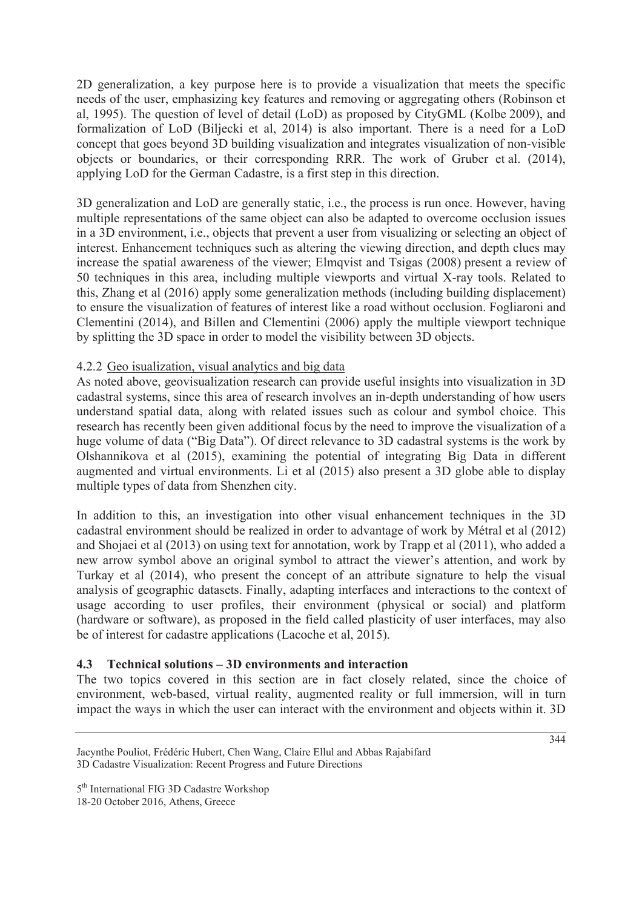2D generalization, a key purpose here is to provide a visualization that meets the specific needs of the user, emphasizing key features and removing or aggregating others (Robinson et al, 1995). The question of level of detail (LoD) as proposed by CityGML (Kolbe 2009), and formalization of LoD (Biljecki et al, 2014) is also important. There is a need for a LoD concept that goes beyond 3D building visualization and integrates visualization of non-visible objects or boundaries, or their corresponding RRR. The work of Gruber et al. (2014), applying LoD for the German Cadastre, is a first step in this direction.

3D generalization and LoD are generally static, i.e., the process is run once. However, having multiple representations of the same object can also be adapted to overcome occlusion issues in a 3D environment, i.e., objects that prevent a user from visualizing or selecting an object of interest. Enhancement techniques such as altering the viewing direction, and depth clues may increase the spatial awareness of the viewer; Elmqvist and Tsigas (2008) present a review of 50 techniques in this area, including multiple viewports and virtual X-ray tools. Related to this, Zhang et al (2016) apply some generalization methods (including building displacement) to ensure the visualization of features of interest like a road without occlusion. Fogliaroni and Clementini (2014), and Billen and Clementini (2006) apply the multiple viewport technique by splitting the 3D space in order to model the visibility between 3D objects.

#### 4.2.2 Geo isualization, visual analytics and big data

As noted above, geovisualization research can provide useful insights into visualization in 3D cadastral systems, since this area of research involves an in-depth understanding of how users understand spatial data, along with related issues such as colour and symbol choice. This research has recently been given additional focus by the need to improve the visualization of a huge volume of data ("Big Data"). Of direct relevance to 3D cadastral systems is the work by Olshannikova et al (2015), examining the potential of integrating Big Data in different augmented and virtual environments. Li et al (2015) also present a 3D globe able to display multiple types of data from Shenzhen city.

In addition to this, an investigation into other visual enhancement techniques in the 3D cadastral environment should be realized in order to advantage of work by Métral et al (2012) and Shojaei et al (2013) on using text for annotation, work by Trapp et al (2011), who added a new arrow symbol above an original symbol to attract the viewer's attention, and work by Turkay et al (2014), who present the concept of an attribute signature to help the visual analysis of geographic datasets. Finally, adapting interfaces and interactions to the context of usage according to user profiles, their environment (physical or social) and platform (hardware or software), as proposed in the field called plasticity of user interfaces, may also be of interest for cadastre applications (Lacoche et al, 2015).

## **4.3 Technical solutions – 3D environments and interaction**

The two topics covered in this section are in fact closely related, since the choice of environment, web-based, virtual reality, augmented reality or full immersion, will in turn impact the ways in which the user can interact with the environment and objects within it. 3D

Jacynthe Pouliot, Frédéric Hubert, Chen Wang, Claire Ellul and Abbas Rajabifard 3D Cadastre Visualization: Recent Progress and Future Directions

<sup>18-20</sup> October 2016, Athens, Greece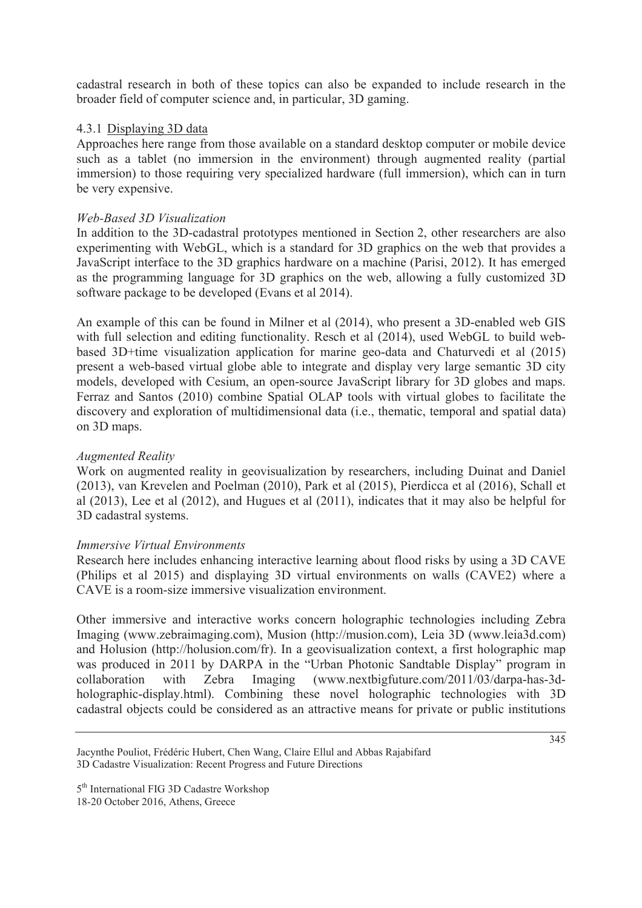cadastral research in both of these topics can also be expanded to include research in the broader field of computer science and, in particular, 3D gaming.

### 4.3.1 Displaying 3D data

Approaches here range from those available on a standard desktop computer or mobile device such as a tablet (no immersion in the environment) through augmented reality (partial immersion) to those requiring very specialized hardware (full immersion), which can in turn be very expensive.

#### *Web-Based 3D Visualization*

In addition to the 3D-cadastral prototypes mentioned in Section 2, other researchers are also experimenting with WebGL, which is a standard for 3D graphics on the web that provides a JavaScript interface to the 3D graphics hardware on a machine (Parisi, 2012). It has emerged as the programming language for 3D graphics on the web, allowing a fully customized 3D software package to be developed (Evans et al 2014).

An example of this can be found in Milner et al (2014), who present a 3D-enabled web GIS with full selection and editing functionality. Resch et al (2014), used WebGL to build webbased 3D+time visualization application for marine geo-data and Chaturvedi et al (2015) present a web-based virtual globe able to integrate and display very large semantic 3D city models, developed with Cesium, an open-source JavaScript library for 3D globes and maps. Ferraz and Santos (2010) combine Spatial OLAP tools with virtual globes to facilitate the discovery and exploration of multidimensional data (i.e., thematic, temporal and spatial data) on 3D maps.

#### *Augmented Reality*

Work on augmented reality in geovisualization by researchers, including Duinat and Daniel (2013), van Krevelen and Poelman (2010), Park et al (2015), Pierdicca et al (2016), Schall et al (2013), Lee et al (2012), and Hugues et al (2011), indicates that it may also be helpful for 3D cadastral systems.

#### *Immersive Virtual Environments*

Research here includes enhancing interactive learning about flood risks by using a 3D CAVE (Philips et al 2015) and displaying 3D virtual environments on walls (CAVE2) where a CAVE is a room-size immersive visualization environment.

Other immersive and interactive works concern holographic technologies including Zebra Imaging (www.zebraimaging.com), Musion (http://musion.com), Leia 3D (www.leia3d.com) and Holusion (http://holusion.com/fr). In a geovisualization context, a first holographic map was produced in 2011 by DARPA in the "Urban Photonic Sandtable Display" program in collaboration with Zebra Imaging (www.nextbigfuture.com/2011/03/darpa-has-3dholographic-display.html). Combining these novel holographic technologies with 3D cadastral objects could be considered as an attractive means for private or public institutions

Jacynthe Pouliot, Frédéric Hubert, Chen Wang, Claire Ellul and Abbas Rajabifard 3D Cadastre Visualization: Recent Progress and Future Directions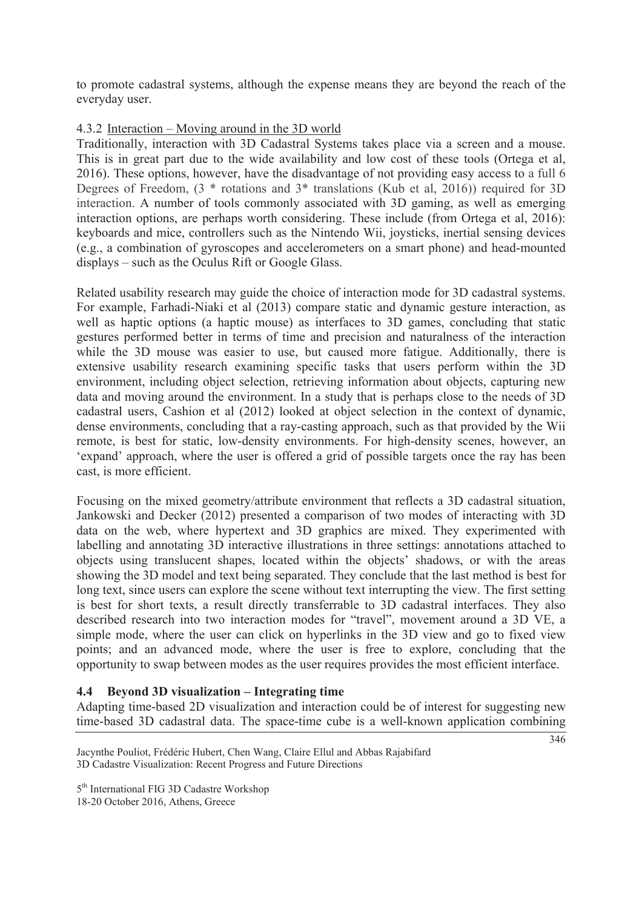to promote cadastral systems, although the expense means they are beyond the reach of the everyday user.

#### 4.3.2 Interaction – Moving around in the 3D world

Traditionally, interaction with 3D Cadastral Systems takes place via a screen and a mouse. This is in great part due to the wide availability and low cost of these tools (Ortega et al, 2016). These options, however, have the disadvantage of not providing easy access to a full 6 Degrees of Freedom, (3 \* rotations and 3\* translations (Kub et al, 2016)) required for 3D interaction. A number of tools commonly associated with 3D gaming, as well as emerging interaction options, are perhaps worth considering. These include (from Ortega et al, 2016): keyboards and mice, controllers such as the Nintendo Wii, joysticks, inertial sensing devices (e.g., a combination of gyroscopes and accelerometers on a smart phone) and head-mounted displays – such as the Oculus Rift or Google Glass.

Related usability research may guide the choice of interaction mode for 3D cadastral systems. For example, Farhadi-Niaki et al (2013) compare static and dynamic gesture interaction, as well as haptic options (a haptic mouse) as interfaces to 3D games, concluding that static gestures performed better in terms of time and precision and naturalness of the interaction while the 3D mouse was easier to use, but caused more fatigue. Additionally, there is extensive usability research examining specific tasks that users perform within the 3D environment, including object selection, retrieving information about objects, capturing new data and moving around the environment. In a study that is perhaps close to the needs of 3D cadastral users, Cashion et al (2012) looked at object selection in the context of dynamic, dense environments, concluding that a ray-casting approach, such as that provided by the Wii remote, is best for static, low-density environments. For high-density scenes, however, an 'expand' approach, where the user is offered a grid of possible targets once the ray has been cast, is more efficient.

Focusing on the mixed geometry/attribute environment that reflects a 3D cadastral situation, Jankowski and Decker (2012) presented a comparison of two modes of interacting with 3D data on the web, where hypertext and 3D graphics are mixed. They experimented with labelling and annotating 3D interactive illustrations in three settings: annotations attached to objects using translucent shapes, located within the objects' shadows, or with the areas showing the 3D model and text being separated. They conclude that the last method is best for long text, since users can explore the scene without text interrupting the view. The first setting is best for short texts, a result directly transferrable to 3D cadastral interfaces. They also described research into two interaction modes for "travel", movement around a 3D VE, a simple mode, where the user can click on hyperlinks in the 3D view and go to fixed view points; and an advanced mode, where the user is free to explore, concluding that the opportunity to swap between modes as the user requires provides the most efficient interface.

#### **4.4 Beyond 3D visualization – Integrating time**

Adapting time-based 2D visualization and interaction could be of interest for suggesting new time-based 3D cadastral data. The space-time cube is a well-known application combining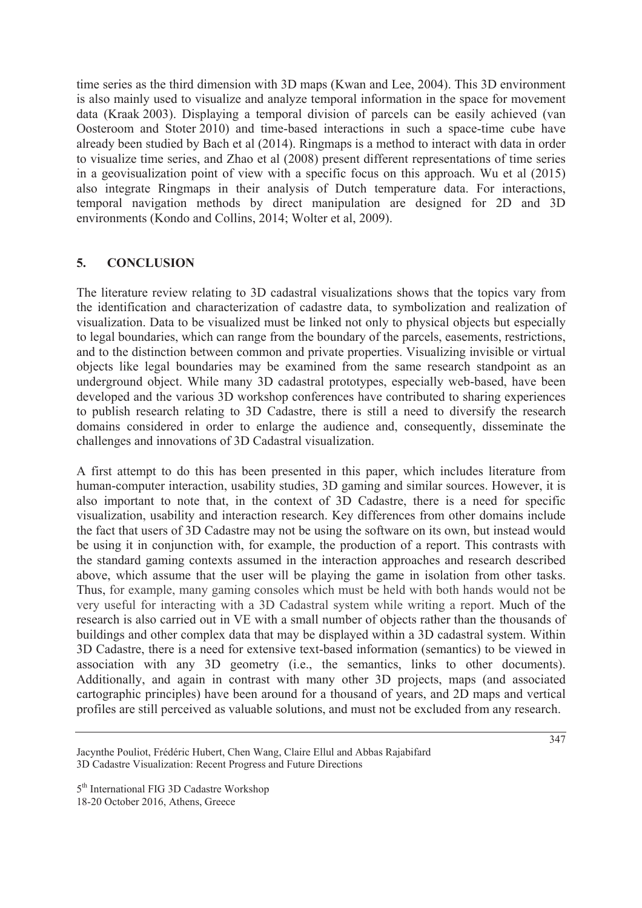time series as the third dimension with 3D maps (Kwan and Lee, 2004). This 3D environment is also mainly used to visualize and analyze temporal information in the space for movement data (Kraak 2003). Displaying a temporal division of parcels can be easily achieved (van Oosteroom and Stoter 2010) and time-based interactions in such a space-time cube have already been studied by Bach et al (2014). Ringmaps is a method to interact with data in order to visualize time series, and Zhao et al (2008) present different representations of time series in a geovisualization point of view with a specific focus on this approach. Wu et al (2015) also integrate Ringmaps in their analysis of Dutch temperature data. For interactions, temporal navigation methods by direct manipulation are designed for 2D and 3D environments (Kondo and Collins, 2014; Wolter et al, 2009).

# **5. CONCLUSION**

The literature review relating to 3D cadastral visualizations shows that the topics vary from the identification and characterization of cadastre data, to symbolization and realization of visualization. Data to be visualized must be linked not only to physical objects but especially to legal boundaries, which can range from the boundary of the parcels, easements, restrictions, and to the distinction between common and private properties. Visualizing invisible or virtual objects like legal boundaries may be examined from the same research standpoint as an underground object. While many 3D cadastral prototypes, especially web-based, have been developed and the various 3D workshop conferences have contributed to sharing experiences to publish research relating to 3D Cadastre, there is still a need to diversify the research domains considered in order to enlarge the audience and, consequently, disseminate the challenges and innovations of 3D Cadastral visualization.

A first attempt to do this has been presented in this paper, which includes literature from human-computer interaction, usability studies, 3D gaming and similar sources. However, it is also important to note that, in the context of 3D Cadastre, there is a need for specific visualization, usability and interaction research. Key differences from other domains include the fact that users of 3D Cadastre may not be using the software on its own, but instead would be using it in conjunction with, for example, the production of a report. This contrasts with the standard gaming contexts assumed in the interaction approaches and research described above, which assume that the user will be playing the game in isolation from other tasks. Thus, for example, many gaming consoles which must be held with both hands would not be very useful for interacting with a 3D Cadastral system while writing a report. Much of the research is also carried out in VE with a small number of objects rather than the thousands of buildings and other complex data that may be displayed within a 3D cadastral system. Within 3D Cadastre, there is a need for extensive text-based information (semantics) to be viewed in association with any 3D geometry (i.e., the semantics, links to other documents). Additionally, and again in contrast with many other 3D projects, maps (and associated cartographic principles) have been around for a thousand of years, and 2D maps and vertical profiles are still perceived as valuable solutions, and must not be excluded from any research.

Jacynthe Pouliot, Frédéric Hubert, Chen Wang, Claire Ellul and Abbas Rajabifard 3D Cadastre Visualization: Recent Progress and Future Directions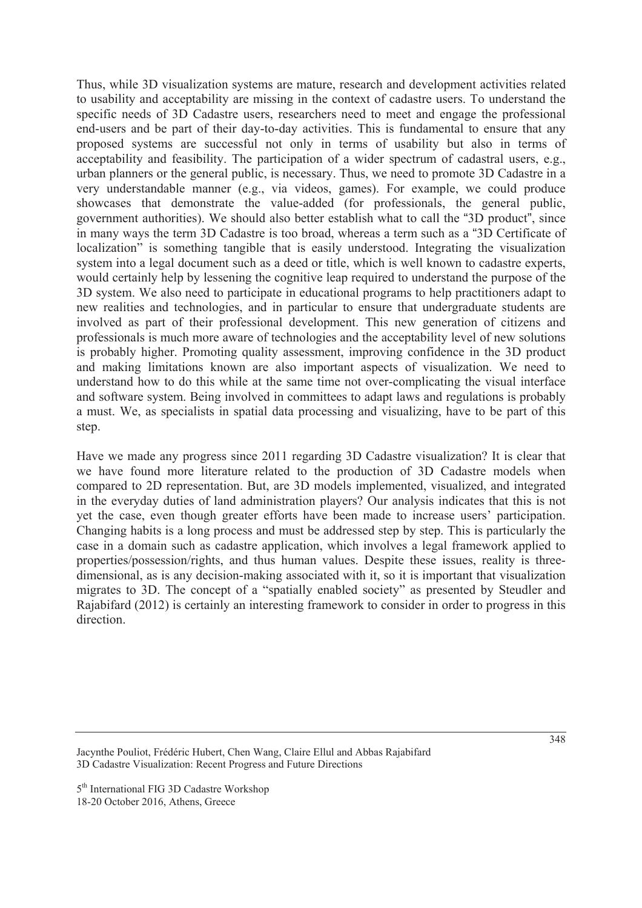Thus, while 3D visualization systems are mature, research and development activities related to usability and acceptability are missing in the context of cadastre users. To understand the specific needs of 3D Cadastre users, researchers need to meet and engage the professional end-users and be part of their day-to-day activities. This is fundamental to ensure that any proposed systems are successful not only in terms of usability but also in terms of acceptability and feasibility. The participation of a wider spectrum of cadastral users, e.g., urban planners or the general public, is necessary. Thus, we need to promote 3D Cadastre in a very understandable manner (e.g., via videos, games). For example, we could produce showcases that demonstrate the value-added (for professionals, the general public, government authorities). We should also better establish what to call the "3D product", since in many ways the term 3D Cadastre is too broad, whereas a term such as a "3D Certificate of localization" is something tangible that is easily understood. Integrating the visualization system into a legal document such as a deed or title, which is well known to cadastre experts, would certainly help by lessening the cognitive leap required to understand the purpose of the 3D system. We also need to participate in educational programs to help practitioners adapt to new realities and technologies, and in particular to ensure that undergraduate students are involved as part of their professional development. This new generation of citizens and professionals is much more aware of technologies and the acceptability level of new solutions is probably higher. Promoting quality assessment, improving confidence in the 3D product and making limitations known are also important aspects of visualization. We need to understand how to do this while at the same time not over-complicating the visual interface and software system. Being involved in committees to adapt laws and regulations is probably a must. We, as specialists in spatial data processing and visualizing, have to be part of this step.

Have we made any progress since 2011 regarding 3D Cadastre visualization? It is clear that we have found more literature related to the production of 3D Cadastre models when compared to 2D representation. But, are 3D models implemented, visualized, and integrated in the everyday duties of land administration players? Our analysis indicates that this is not yet the case, even though greater efforts have been made to increase users' participation. Changing habits is a long process and must be addressed step by step. This is particularly the case in a domain such as cadastre application, which involves a legal framework applied to properties/possession/rights, and thus human values. Despite these issues, reality is threedimensional, as is any decision-making associated with it, so it is important that visualization migrates to 3D. The concept of a "spatially enabled society" as presented by Steudler and Rajabifard (2012) is certainly an interesting framework to consider in order to progress in this direction.

Jacynthe Pouliot, Frédéric Hubert, Chen Wang, Claire Ellul and Abbas Rajabifard 3D Cadastre Visualization: Recent Progress and Future Directions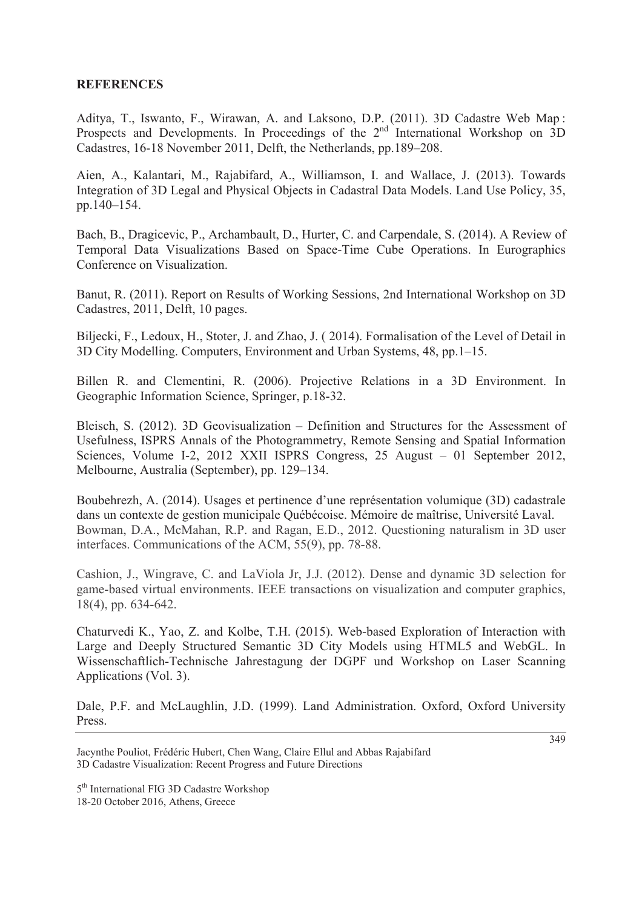#### **REFERENCES**

Aditya, T., Iswanto, F., Wirawan, A. and Laksono, D.P. (2011). 3D Cadastre Web Map : Prospects and Developments. In Proceedings of the 2<sup>nd</sup> International Workshop on 3D Cadastres, 16-18 November 2011, Delft, the Netherlands, pp.189–208.

Aien, A., Kalantari, M., Rajabifard, A., Williamson, I. and Wallace, J. (2013). Towards Integration of 3D Legal and Physical Objects in Cadastral Data Models. Land Use Policy, 35, pp.140–154.

Bach, B., Dragicevic, P., Archambault, D., Hurter, C. and Carpendale, S. (2014). A Review of Temporal Data Visualizations Based on Space-Time Cube Operations. In Eurographics Conference on Visualization.

Banut, R. (2011). Report on Results of Working Sessions, 2nd International Workshop on 3D Cadastres, 2011, Delft, 10 pages.

Biljecki, F., Ledoux, H., Stoter, J. and Zhao, J. ( 2014). Formalisation of the Level of Detail in 3D City Modelling. Computers, Environment and Urban Systems, 48, pp.1–15.

Billen R. and Clementini, R. (2006). Projective Relations in a 3D Environment. In Geographic Information Science, Springer, p.18-32.

Bleisch, S. (2012). 3D Geovisualization – Definition and Structures for the Assessment of Usefulness, ISPRS Annals of the Photogrammetry, Remote Sensing and Spatial Information Sciences, Volume I-2, 2012 XXII ISPRS Congress, 25 August – 01 September 2012, Melbourne, Australia (September), pp. 129–134.

Boubehrezh, A. (2014). Usages et pertinence d'une représentation volumique (3D) cadastrale dans un contexte de gestion municipale Québécoise. Mémoire de maîtrise, Université Laval. Bowman, D.A., McMahan, R.P. and Ragan, E.D., 2012. Questioning naturalism in 3D user interfaces. Communications of the ACM, 55(9), pp. 78-88.

Cashion, J., Wingrave, C. and LaViola Jr, J.J. (2012). Dense and dynamic 3D selection for game-based virtual environments. IEEE transactions on visualization and computer graphics, 18(4), pp. 634-642.

Chaturvedi K., Yao, Z. and Kolbe, T.H. (2015). Web-based Exploration of Interaction with Large and Deeply Structured Semantic 3D City Models using HTML5 and WebGL. In Wissenschaftlich-Technische Jahrestagung der DGPF und Workshop on Laser Scanning Applications (Vol. 3).

Dale, P.F. and McLaughlin, J.D. (1999). Land Administration. Oxford, Oxford University Press.

Jacynthe Pouliot, Frédéric Hubert, Chen Wang, Claire Ellul and Abbas Rajabifard 3D Cadastre Visualization: Recent Progress and Future Directions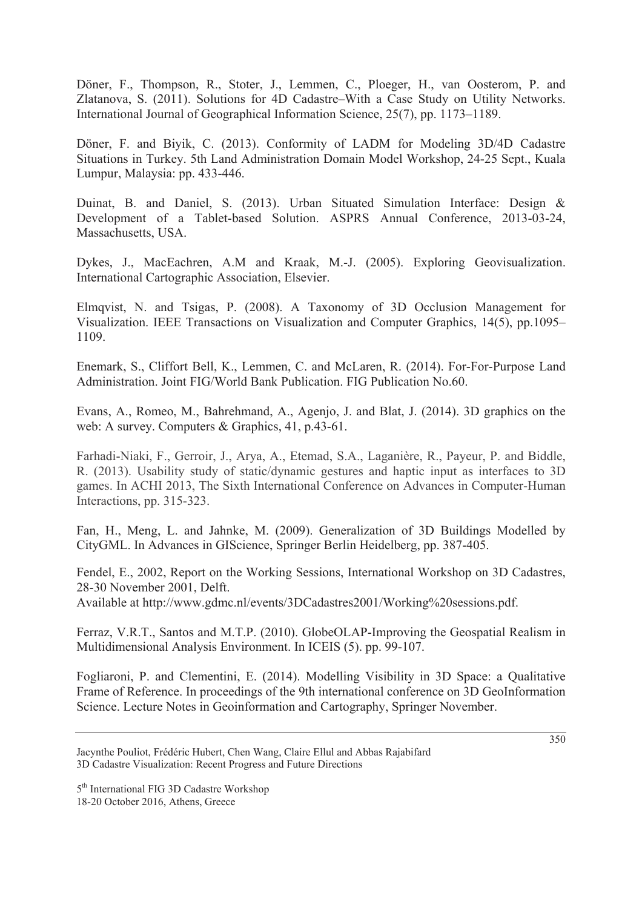Döner, F., Thompson, R., Stoter, J., Lemmen, C., Ploeger, H., van Oosterom, P. and Zlatanova, S. (2011). Solutions for 4D Cadastre–With a Case Study on Utility Networks. International Journal of Geographical Information Science, 25(7), pp. 1173–1189.

Döner, F. and Biyik, C. (2013). Conformity of LADM for Modeling 3D/4D Cadastre Situations in Turkey. 5th Land Administration Domain Model Workshop, 24-25 Sept., Kuala Lumpur, Malaysia: pp. 433-446.

Duinat, B. and Daniel, S. (2013). Urban Situated Simulation Interface: Design & Development of a Tablet-based Solution. ASPRS Annual Conference, 2013-03-24, Massachusetts, USA.

Dykes, J., MacEachren, A.M and Kraak, M.-J. (2005). Exploring Geovisualization. International Cartographic Association, Elsevier.

Elmqvist, N. and Tsigas, P. (2008). A Taxonomy of 3D Occlusion Management for Visualization. IEEE Transactions on Visualization and Computer Graphics, 14(5), pp.1095– 1109.

Enemark, S., Cliffort Bell, K., Lemmen, C. and McLaren, R. (2014). For-For-Purpose Land Administration. Joint FIG/World Bank Publication. FIG Publication No.60.

Evans, A., Romeo, M., Bahrehmand, A., Agenjo, J. and Blat, J. (2014). 3D graphics on the web: A survey. Computers & Graphics, 41, p.43-61.

Farhadi-Niaki, F., Gerroir, J., Arya, A., Etemad, S.A., Laganière, R., Payeur, P. and Biddle, R. (2013). Usability study of static/dynamic gestures and haptic input as interfaces to 3D games. In ACHI 2013, The Sixth International Conference on Advances in Computer-Human Interactions, pp. 315-323.

Fan, H., Meng, L. and Jahnke, M. (2009). Generalization of 3D Buildings Modelled by CityGML. In Advances in GIScience, Springer Berlin Heidelberg, pp. 387-405.

Fendel, E., 2002, Report on the Working Sessions, International Workshop on 3D Cadastres, 28-30 November 2001, Delft.

Available at http://www.gdmc.nl/events/3DCadastres2001/Working%20sessions.pdf.

Ferraz, V.R.T., Santos and M.T.P. (2010). GlobeOLAP-Improving the Geospatial Realism in Multidimensional Analysis Environment. In ICEIS (5). pp. 99-107.

Fogliaroni, P. and Clementini, E. (2014). Modelling Visibility in 3D Space: a Qualitative Frame of Reference. In proceedings of the 9th international conference on 3D GeoInformation Science. Lecture Notes in Geoinformation and Cartography, Springer November.

Jacynthe Pouliot, Frédéric Hubert, Chen Wang, Claire Ellul and Abbas Rajabifard 3D Cadastre Visualization: Recent Progress and Future Directions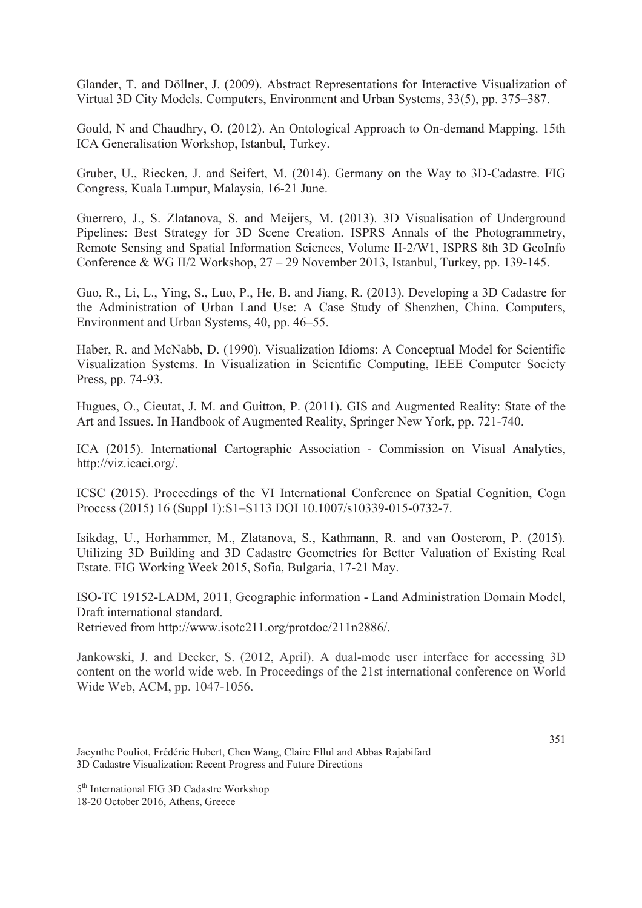Glander, T. and Döllner, J. (2009). Abstract Representations for Interactive Visualization of Virtual 3D City Models. Computers, Environment and Urban Systems, 33(5), pp. 375–387.

Gould, N and Chaudhry, O. (2012). An Ontological Approach to On-demand Mapping. 15th ICA Generalisation Workshop, Istanbul, Turkey.

Gruber, U., Riecken, J. and Seifert, M. (2014). Germany on the Way to 3D-Cadastre. FIG Congress, Kuala Lumpur, Malaysia, 16-21 June.

Guerrero, J., S. Zlatanova, S. and Meijers, M. (2013). 3D Visualisation of Underground Pipelines: Best Strategy for 3D Scene Creation. ISPRS Annals of the Photogrammetry, Remote Sensing and Spatial Information Sciences, Volume II-2/W1, ISPRS 8th 3D GeoInfo Conference & WG II/2 Workshop, 27 – 29 November 2013, Istanbul, Turkey, pp. 139-145.

Guo, R., Li, L., Ying, S., Luo, P., He, B. and Jiang, R. (2013). Developing a 3D Cadastre for the Administration of Urban Land Use: A Case Study of Shenzhen, China. Computers, Environment and Urban Systems, 40, pp. 46–55.

Haber, R. and McNabb, D. (1990). Visualization Idioms: A Conceptual Model for Scientific Visualization Systems. In Visualization in Scientific Computing, IEEE Computer Society Press, pp. 74-93.

Hugues, O., Cieutat, J. M. and Guitton, P. (2011). GIS and Augmented Reality: State of the Art and Issues. In Handbook of Augmented Reality, Springer New York, pp. 721-740.

ICA (2015). International Cartographic Association - Commission on Visual Analytics, http://viz.icaci.org/.

ICSC (2015). Proceedings of the VI International Conference on Spatial Cognition, Cogn Process (2015) 16 (Suppl 1):S1–S113 DOI 10.1007/s10339-015-0732-7.

Isikdag, U., Horhammer, M., Zlatanova, S., Kathmann, R. and van Oosterom, P. (2015). Utilizing 3D Building and 3D Cadastre Geometries for Better Valuation of Existing Real Estate. FIG Working Week 2015, Sofia, Bulgaria, 17-21 May.

ISO-TC 19152-LADM, 2011, Geographic information - Land Administration Domain Model, Draft international standard.

Retrieved from http://www.isotc211.org/protdoc/211n2886/.

Jankowski, J. and Decker, S. (2012, April). A dual-mode user interface for accessing 3D content on the world wide web. In Proceedings of the 21st international conference on World Wide Web, ACM, pp. 1047-1056.

Jacynthe Pouliot, Frédéric Hubert, Chen Wang, Claire Ellul and Abbas Rajabifard 3D Cadastre Visualization: Recent Progress and Future Directions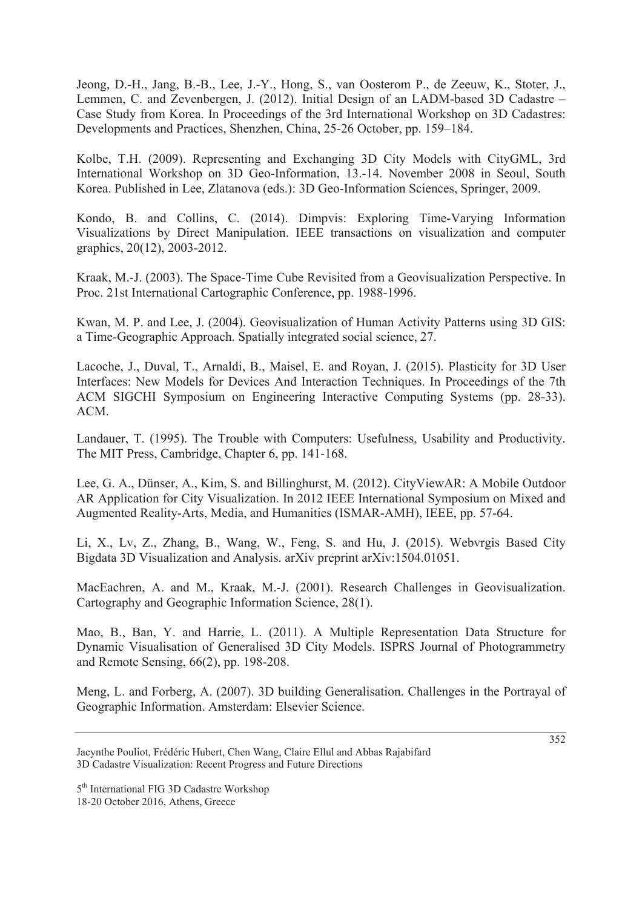Jeong, D.-H., Jang, B.-B., Lee, J.-Y., Hong, S., van Oosterom P., de Zeeuw, K., Stoter, J., Lemmen, C. and Zevenbergen, J. (2012). Initial Design of an LADM-based 3D Cadastre – Case Study from Korea. In Proceedings of the 3rd International Workshop on 3D Cadastres: Developments and Practices, Shenzhen, China, 25-26 October, pp. 159–184.

Kolbe, T.H. (2009). Representing and Exchanging 3D City Models with CityGML, 3rd International Workshop on 3D Geo-Information, 13.-14. November 2008 in Seoul, South Korea. Published in Lee, Zlatanova (eds.): 3D Geo-Information Sciences, Springer, 2009.

Kondo, B. and Collins, C. (2014). Dimpvis: Exploring Time-Varying Information Visualizations by Direct Manipulation. IEEE transactions on visualization and computer graphics, 20(12), 2003-2012.

Kraak, M.-J. (2003). The Space-Time Cube Revisited from a Geovisualization Perspective. In Proc. 21st International Cartographic Conference, pp. 1988-1996.

Kwan, M. P. and Lee, J. (2004). Geovisualization of Human Activity Patterns using 3D GIS: a Time-Geographic Approach. Spatially integrated social science, 27.

Lacoche, J., Duval, T., Arnaldi, B., Maisel, E. and Royan, J. (2015). Plasticity for 3D User Interfaces: New Models for Devices And Interaction Techniques. In Proceedings of the 7th ACM SIGCHI Symposium on Engineering Interactive Computing Systems (pp. 28-33). ACM.

Landauer, T. (1995). The Trouble with Computers: Usefulness, Usability and Productivity. The MIT Press, Cambridge, Chapter 6, pp. 141-168.

Lee, G. A., Dünser, A., Kim, S. and Billinghurst, M. (2012). CityViewAR: A Mobile Outdoor AR Application for City Visualization. In 2012 IEEE International Symposium on Mixed and Augmented Reality-Arts, Media, and Humanities (ISMAR-AMH), IEEE, pp. 57-64.

Li, X., Lv, Z., Zhang, B., Wang, W., Feng, S. and Hu, J. (2015). Webvrgis Based City Bigdata 3D Visualization and Analysis. arXiv preprint arXiv:1504.01051.

MacEachren, A. and M., Kraak, M.-J. (2001). Research Challenges in Geovisualization. Cartography and Geographic Information Science, 28(1).

Mao, B., Ban, Y. and Harrie, L. (2011). A Multiple Representation Data Structure for Dynamic Visualisation of Generalised 3D City Models. ISPRS Journal of Photogrammetry and Remote Sensing, 66(2), pp. 198-208.

Meng, L. and Forberg, A. (2007). 3D building Generalisation. Challenges in the Portrayal of Geographic Information. Amsterdam: Elsevier Science.

Jacynthe Pouliot, Frédéric Hubert, Chen Wang, Claire Ellul and Abbas Rajabifard 3D Cadastre Visualization: Recent Progress and Future Directions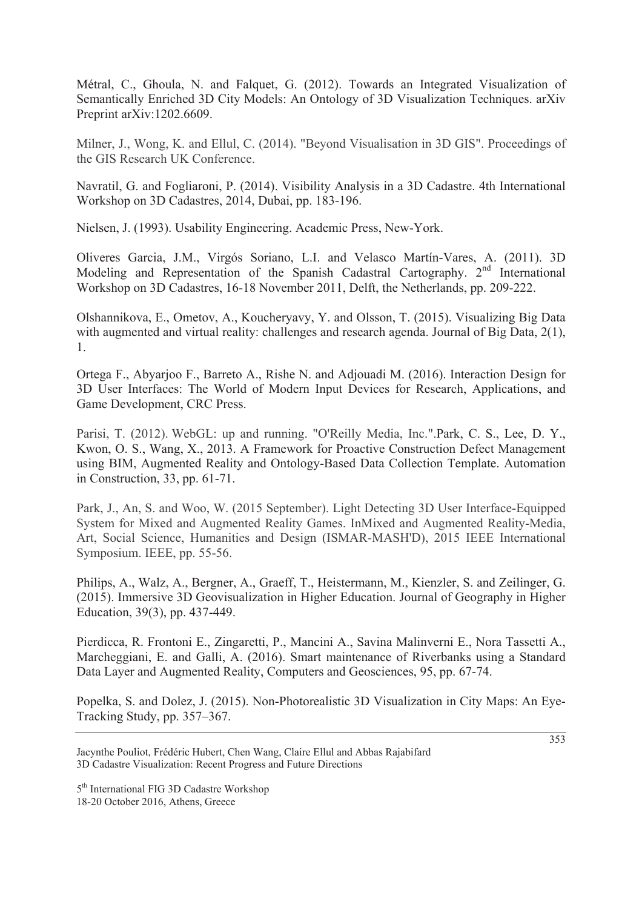Métral, C., Ghoula, N. and Falquet, G. (2012). Towards an Integrated Visualization of Semantically Enriched 3D City Models: An Ontology of 3D Visualization Techniques. arXiv Preprint arXiv:1202.6609.

Milner, J., Wong, K. and Ellul, C. (2014). "Beyond Visualisation in 3D GIS". Proceedings of the GIS Research UK Conference.

Navratil, G. and Fogliaroni, P. (2014). Visibility Analysis in a 3D Cadastre. 4th International Workshop on 3D Cadastres, 2014, Dubai, pp. 183-196.

Nielsen, J. (1993). Usability Engineering. Academic Press, New-York.

Oliveres Garcia, J.M., Virgós Soriano, L.I. and Velasco Martín-Vares, A. (2011). 3D Modeling and Representation of the Spanish Cadastral Cartography. 2<sup>nd</sup> International Workshop on 3D Cadastres, 16-18 November 2011, Delft, the Netherlands, pp. 209-222.

Olshannikova, E., Ometov, A., Koucheryavy, Y. and Olsson, T. (2015). Visualizing Big Data with augmented and virtual reality: challenges and research agenda. Journal of Big Data, 2(1), 1.

Ortega F., Abyarjoo F., Barreto A., Rishe N. and Adjouadi M. (2016). Interaction Design for 3D User Interfaces: The World of Modern Input Devices for Research, Applications, and Game Development, CRC Press.

Parisi, T. (2012). WebGL: up and running. "O'Reilly Media, Inc.".Park, C. S., Lee, D. Y., Kwon, O. S., Wang, X., 2013. A Framework for Proactive Construction Defect Management using BIM, Augmented Reality and Ontology-Based Data Collection Template. Automation in Construction, 33, pp. 61-71.

Park, J., An, S. and Woo, W. (2015 September). Light Detecting 3D User Interface-Equipped System for Mixed and Augmented Reality Games. InMixed and Augmented Reality-Media, Art, Social Science, Humanities and Design (ISMAR-MASH'D), 2015 IEEE International Symposium. IEEE, pp. 55-56.

Philips, A., Walz, A., Bergner, A., Graeff, T., Heistermann, M., Kienzler, S. and Zeilinger, G. (2015). Immersive 3D Geovisualization in Higher Education. Journal of Geography in Higher Education, 39(3), pp. 437-449.

Pierdicca, R. Frontoni E., Zingaretti, P., Mancini A., Savina Malinverni E., Nora Tassetti A., Marcheggiani, E. and Galli, A. (2016). Smart maintenance of Riverbanks using a Standard Data Layer and Augmented Reality, Computers and Geosciences, 95, pp. 67-74.

Popelka, S. and Dolez, J. (2015). Non-Photorealistic 3D Visualization in City Maps: An Eye-Tracking Study, pp. 357–367.

Jacynthe Pouliot, Frédéric Hubert, Chen Wang, Claire Ellul and Abbas Rajabifard 3D Cadastre Visualization: Recent Progress and Future Directions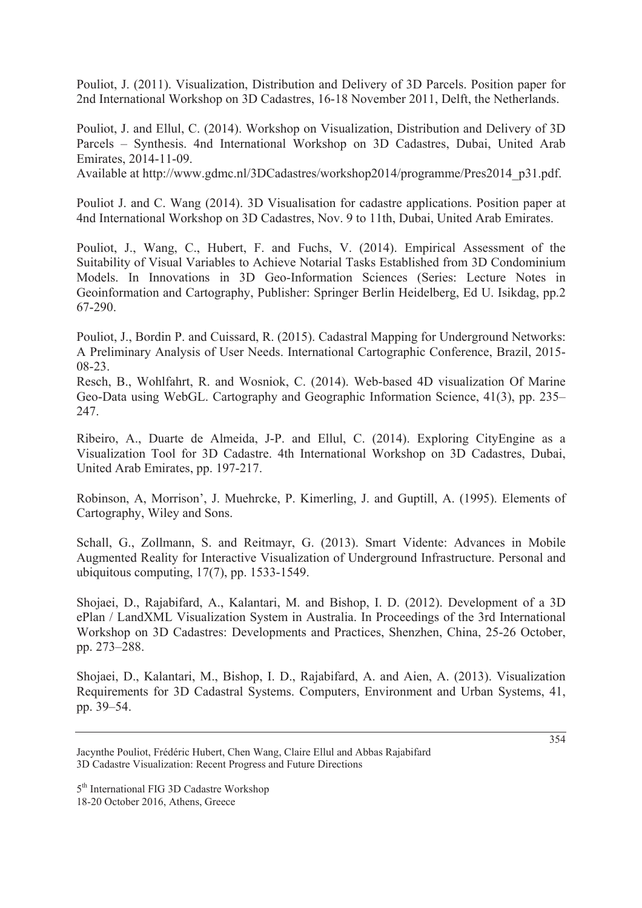Pouliot, J. (2011). Visualization, Distribution and Delivery of 3D Parcels. Position paper for 2nd International Workshop on 3D Cadastres, 16-18 November 2011, Delft, the Netherlands.

Pouliot, J. and Ellul, C. (2014). Workshop on Visualization, Distribution and Delivery of 3D Parcels – Synthesis. 4nd International Workshop on 3D Cadastres, Dubai, United Arab Emirates, 2014-11-09.

Available at http://www.gdmc.nl/3DCadastres/workshop2014/programme/Pres2014\_p31.pdf.

Pouliot J. and C. Wang (2014). 3D Visualisation for cadastre applications. Position paper at 4nd International Workshop on 3D Cadastres, Nov. 9 to 11th, Dubai, United Arab Emirates.

Pouliot, J., Wang, C., Hubert, F. and Fuchs, V. (2014). Empirical Assessment of the Suitability of Visual Variables to Achieve Notarial Tasks Established from 3D Condominium Models. In Innovations in 3D Geo-Information Sciences (Series: Lecture Notes in Geoinformation and Cartography, Publisher: Springer Berlin Heidelberg, Ed U. Isikdag, pp.2 67-290.

Pouliot, J., Bordin P. and Cuissard, R. (2015). Cadastral Mapping for Underground Networks: A Preliminary Analysis of User Needs. International Cartographic Conference, Brazil, 2015- 08-23.

Resch, B., Wohlfahrt, R. and Wosniok, C. (2014). Web-based 4D visualization Of Marine Geo-Data using WebGL. Cartography and Geographic Information Science, 41(3), pp. 235– 247.

Ribeiro, A., Duarte de Almeida, J-P. and Ellul, C. (2014). Exploring CityEngine as a Visualization Tool for 3D Cadastre. 4th International Workshop on 3D Cadastres, Dubai, United Arab Emirates, pp. 197-217.

Robinson, A, Morrison', J. Muehrcke, P. Kimerling, J. and Guptill, A. (1995). Elements of Cartography, Wiley and Sons.

Schall, G., Zollmann, S. and Reitmayr, G. (2013). Smart Vidente: Advances in Mobile Augmented Reality for Interactive Visualization of Underground Infrastructure. Personal and ubiquitous computing, 17(7), pp. 1533-1549.

Shojaei, D., Rajabifard, A., Kalantari, M. and Bishop, I. D. (2012). Development of a 3D ePlan / LandXML Visualization System in Australia. In Proceedings of the 3rd International Workshop on 3D Cadastres: Developments and Practices, Shenzhen, China, 25-26 October, pp. 273–288.

Shojaei, D., Kalantari, M., Bishop, I. D., Rajabifard, A. and Aien, A. (2013). Visualization Requirements for 3D Cadastral Systems. Computers, Environment and Urban Systems, 41, pp. 39–54.

Jacynthe Pouliot, Frédéric Hubert, Chen Wang, Claire Ellul and Abbas Rajabifard 3D Cadastre Visualization: Recent Progress and Future Directions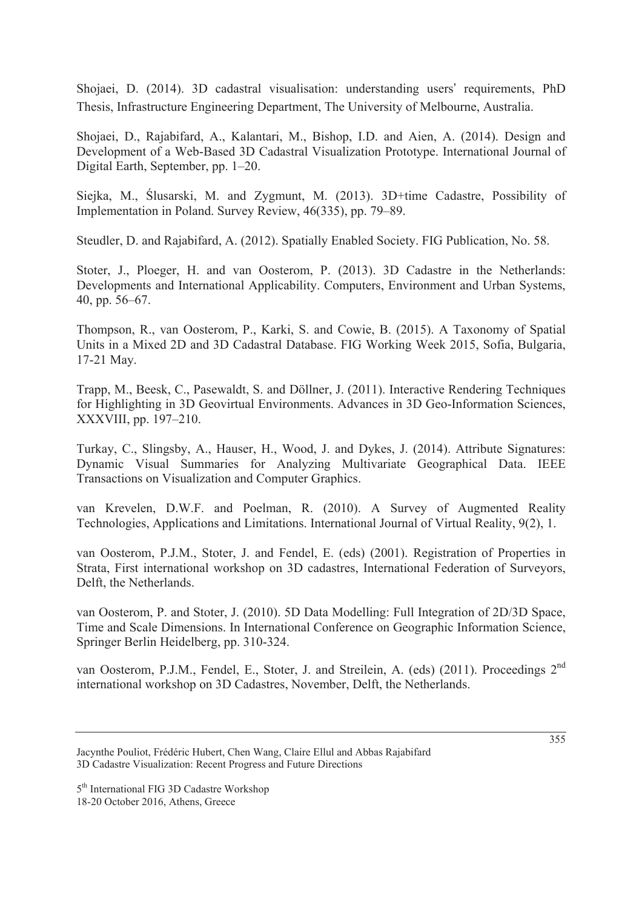Shojaei, D. (2014). 3D cadastral visualisation: understanding users' requirements, PhD Thesis, Infrastructure Engineering Department, The University of Melbourne, Australia.

Shojaei, D., Rajabifard, A., Kalantari, M., Bishop, I.D. and Aien, A. (2014). Design and Development of a Web-Based 3D Cadastral Visualization Prototype. International Journal of Digital Earth, September, pp. 1–20.

Siejka, M., ĝlusarski, M. and Zygmunt, M. (2013). 3D+time Cadastre, Possibility of Implementation in Poland. Survey Review, 46(335), pp. 79–89.

Steudler, D. and Rajabifard, A. (2012). Spatially Enabled Society. FIG Publication, No. 58.

Stoter, J., Ploeger, H. and van Oosterom, P. (2013). 3D Cadastre in the Netherlands: Developments and International Applicability. Computers, Environment and Urban Systems, 40, pp. 56–67.

Thompson, R., van Oosterom, P., Karki, S. and Cowie, B. (2015). A Taxonomy of Spatial Units in a Mixed 2D and 3D Cadastral Database. FIG Working Week 2015, Sofia, Bulgaria, 17-21 May.

Trapp, M., Beesk, C., Pasewaldt, S. and Döllner, J. (2011). Interactive Rendering Techniques for Highlighting in 3D Geovirtual Environments. Advances in 3D Geo-Information Sciences, XXXVIII, pp. 197–210.

Turkay, C., Slingsby, A., Hauser, H., Wood, J. and Dykes, J. (2014). Attribute Signatures: Dynamic Visual Summaries for Analyzing Multivariate Geographical Data. IEEE Transactions on Visualization and Computer Graphics.

van Krevelen, D.W.F. and Poelman, R. (2010). A Survey of Augmented Reality Technologies, Applications and Limitations. International Journal of Virtual Reality, 9(2), 1.

van Oosterom, P.J.M., Stoter, J. and Fendel, E. (eds) (2001). Registration of Properties in Strata, First international workshop on 3D cadastres, International Federation of Surveyors, Delft, the Netherlands.

van Oosterom, P. and Stoter, J. (2010). 5D Data Modelling: Full Integration of 2D/3D Space, Time and Scale Dimensions. In International Conference on Geographic Information Science, Springer Berlin Heidelberg, pp. 310-324.

van Oosterom, P.J.M., Fendel, E., Stoter, J. and Streilein, A. (eds) (2011). Proceedings 2<sup>nd</sup> international workshop on 3D Cadastres, November, Delft, the Netherlands.

Jacynthe Pouliot, Frédéric Hubert, Chen Wang, Claire Ellul and Abbas Rajabifard 3D Cadastre Visualization: Recent Progress and Future Directions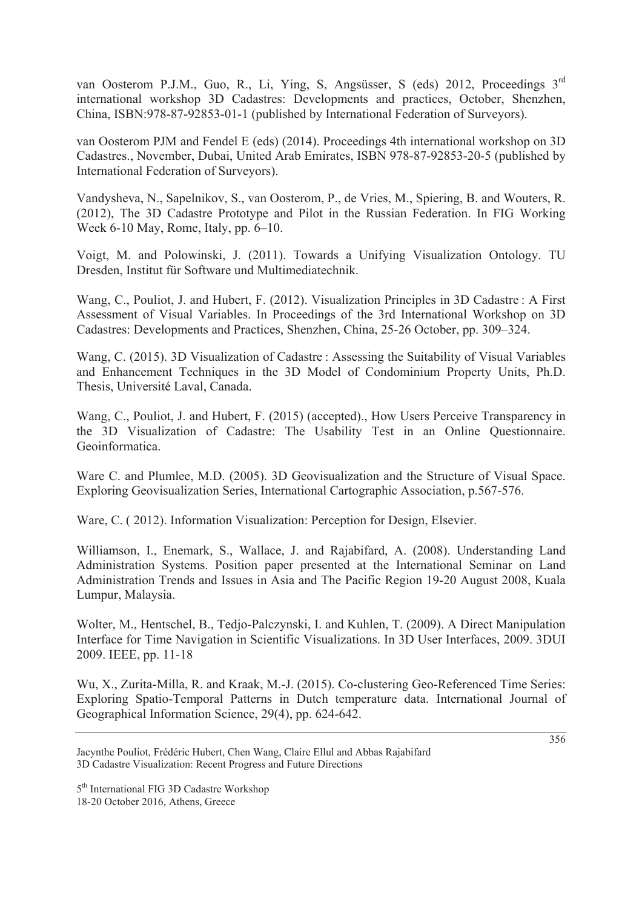van Oosterom P.J.M., Guo, R., Li, Ying, S, Angsüsser, S (eds) 2012, Proceedings 3rd international workshop 3D Cadastres: Developments and practices, October, Shenzhen, China, ISBN:978-87-92853-01-1 (published by International Federation of Surveyors).

van Oosterom PJM and Fendel E (eds) (2014). Proceedings 4th international workshop on 3D Cadastres., November, Dubai, United Arab Emirates, ISBN 978-87-92853-20-5 (published by International Federation of Surveyors).

Vandysheva, N., Sapelnikov, S., van Oosterom, P., de Vries, M., Spiering, B. and Wouters, R. (2012), The 3D Cadastre Prototype and Pilot in the Russian Federation. In FIG Working Week 6-10 May, Rome, Italy, pp. 6–10.

Voigt, M. and Polowinski, J. (2011). Towards a Unifying Visualization Ontology. TU Dresden, Institut für Software und Multimediatechnik.

Wang, C., Pouliot, J. and Hubert, F. (2012). Visualization Principles in 3D Cadastre : A First Assessment of Visual Variables. In Proceedings of the 3rd International Workshop on 3D Cadastres: Developments and Practices, Shenzhen, China, 25-26 October, pp. 309–324.

Wang, C. (2015). 3D Visualization of Cadastre : Assessing the Suitability of Visual Variables and Enhancement Techniques in the 3D Model of Condominium Property Units, Ph.D. Thesis, Université Laval, Canada.

Wang, C., Pouliot, J. and Hubert, F. (2015) (accepted)., How Users Perceive Transparency in the 3D Visualization of Cadastre: The Usability Test in an Online Questionnaire. Geoinformatica.

Ware C. and Plumlee, M.D. (2005). 3D Geovisualization and the Structure of Visual Space. Exploring Geovisualization Series, International Cartographic Association, p.567-576.

Ware, C. ( 2012). Information Visualization: Perception for Design, Elsevier.

Williamson, I., Enemark, S., Wallace, J. and Rajabifard, A. (2008). Understanding Land Administration Systems. Position paper presented at the International Seminar on Land Administration Trends and Issues in Asia and The Pacific Region 19-20 August 2008, Kuala Lumpur, Malaysia.

Wolter, M., Hentschel, B., Tedjo-Palczynski, I. and Kuhlen, T. (2009). A Direct Manipulation Interface for Time Navigation in Scientific Visualizations. In 3D User Interfaces, 2009. 3DUI 2009. IEEE, pp. 11-18

Wu, X., Zurita-Milla, R. and Kraak, M.-J. (2015). Co-clustering Geo-Referenced Time Series: Exploring Spatio-Temporal Patterns in Dutch temperature data. International Journal of Geographical Information Science, 29(4), pp. 624-642.

Jacynthe Pouliot, Frédéric Hubert, Chen Wang, Claire Ellul and Abbas Rajabifard 3D Cadastre Visualization: Recent Progress and Future Directions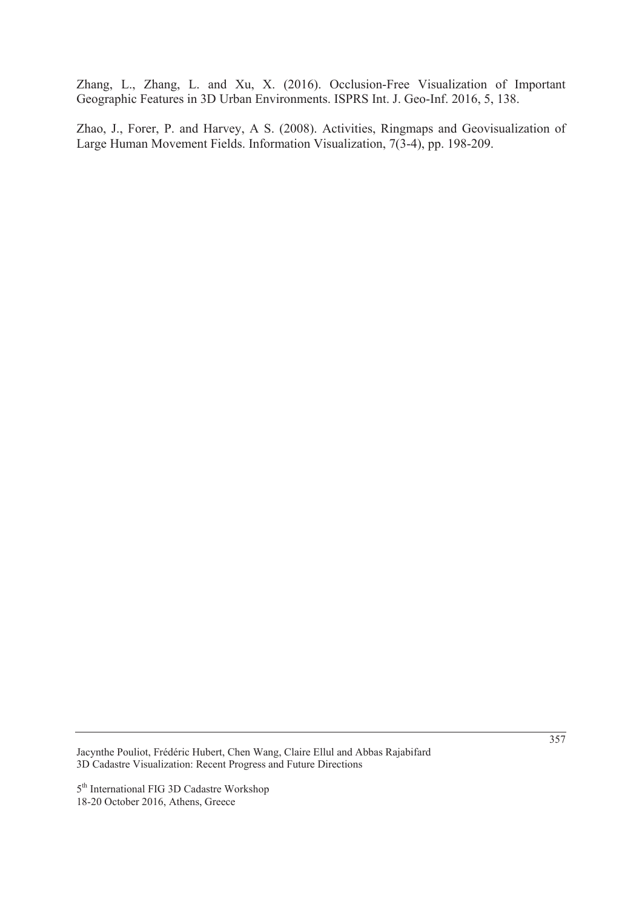Zhang, L., Zhang, L. and Xu, X. (2016). Occlusion-Free Visualization of Important Geographic Features in 3D Urban Environments. ISPRS Int. J. Geo-Inf. 2016, 5, 138.

Zhao, J., Forer, P. and Harvey, A S. (2008). Activities, Ringmaps and Geovisualization of Large Human Movement Fields. Information Visualization, 7(3-4), pp. 198-209.

Jacynthe Pouliot, Frédéric Hubert, Chen Wang, Claire Ellul and Abbas Rajabifard 3D Cadastre Visualization: Recent Progress and Future Directions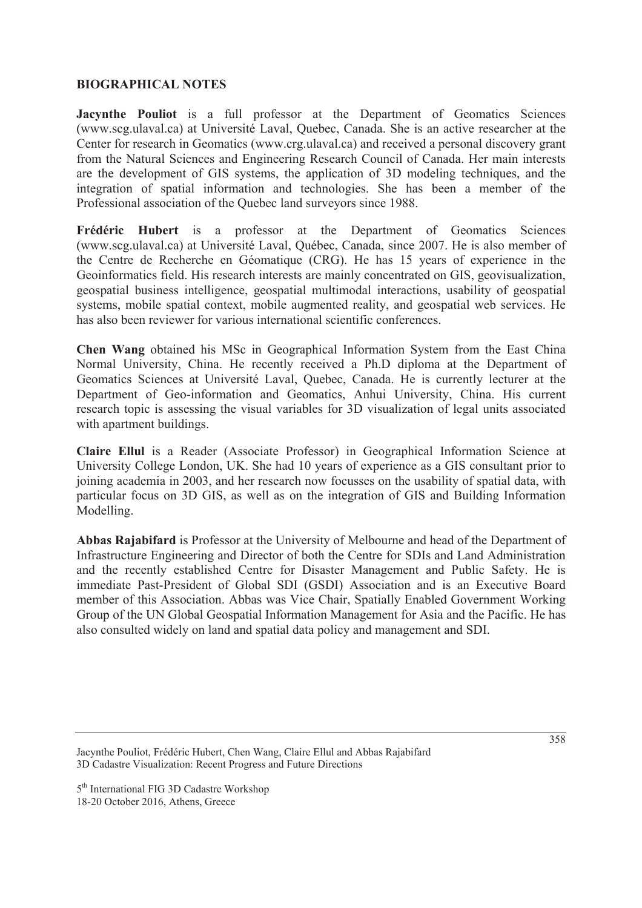#### **BIOGRAPHICAL NOTES**

**Jacynthe Pouliot** is a full professor at the Department of Geomatics Sciences (www.scg.ulaval.ca) at Université Laval, Quebec, Canada. She is an active researcher at the Center for research in Geomatics (www.crg.ulaval.ca) and received a personal discovery grant from the Natural Sciences and Engineering Research Council of Canada. Her main interests are the development of GIS systems, the application of 3D modeling techniques, and the integration of spatial information and technologies. She has been a member of the Professional association of the Quebec land surveyors since 1988.

**Frédéric Hubert** is a professor at the Department of Geomatics Sciences (www.scg.ulaval.ca) at Université Laval, Québec, Canada, since 2007. He is also member of the Centre de Recherche en Géomatique (CRG). He has 15 years of experience in the Geoinformatics field. His research interests are mainly concentrated on GIS, geovisualization, geospatial business intelligence, geospatial multimodal interactions, usability of geospatial systems, mobile spatial context, mobile augmented reality, and geospatial web services. He has also been reviewer for various international scientific conferences.

**Chen Wang** obtained his MSc in Geographical Information System from the East China Normal University, China. He recently received a Ph.D diploma at the Department of Geomatics Sciences at Université Laval, Quebec, Canada. He is currently lecturer at the Department of Geo-information and Geomatics, Anhui University, China. His current research topic is assessing the visual variables for 3D visualization of legal units associated with apartment buildings.

**Claire Ellul** is a Reader (Associate Professor) in Geographical Information Science at University College London, UK. She had 10 years of experience as a GIS consultant prior to joining academia in 2003, and her research now focusses on the usability of spatial data, with particular focus on 3D GIS, as well as on the integration of GIS and Building Information Modelling.

**Abbas Rajabifard** is Professor at the University of Melbourne and head of the Department of Infrastructure Engineering and Director of both the Centre for SDIs and Land Administration and the recently established Centre for Disaster Management and Public Safety. He is immediate Past-President of Global SDI (GSDI) Association and is an Executive Board member of this Association. Abbas was Vice Chair, Spatially Enabled Government Working Group of the UN Global Geospatial Information Management for Asia and the Pacific. He has also consulted widely on land and spatial data policy and management and SDI.

Jacynthe Pouliot, Frédéric Hubert, Chen Wang, Claire Ellul and Abbas Rajabifard 3D Cadastre Visualization: Recent Progress and Future Directions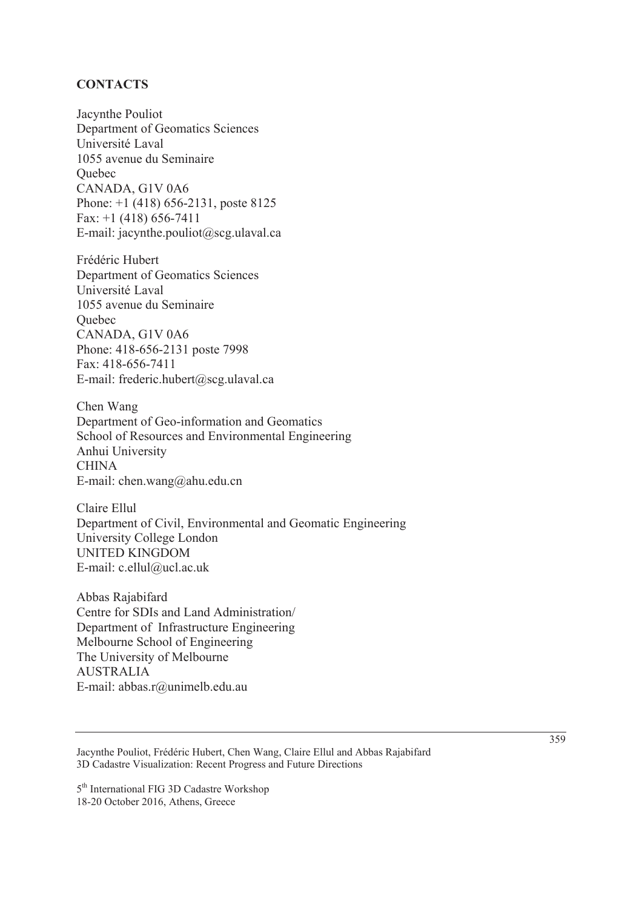#### **CONTACTS**

Jacynthe Pouliot Department of Geomatics Sciences Université Laval 1055 avenue du Seminaire **Ouebec** CANADA, G1V 0A6 Phone: +1 (418) 656-2131, poste 8125 Fax: +1 (418) 656-7411 E-mail: jacynthe.pouliot@scg.ulaval.ca

Frédéric Hubert Department of Geomatics Sciences Université Laval 1055 avenue du Seminaire **Ouebec** CANADA, G1V 0A6 Phone: 418-656-2131 poste 7998 Fax: 418-656-7411 E-mail: frederic.hubert@scg.ulaval.ca

Chen Wang Department of Geo-information and Geomatics School of Resources and Environmental Engineering Anhui University CHINA E-mail: chen.wang@ahu.edu.cn

Claire Ellul Department of Civil, Environmental and Geomatic Engineering University College London UNITED KINGDOM E-mail: c.ellul@ucl.ac.uk

Abbas Rajabifard Centre for SDIs and Land Administration/ Department of Infrastructure Engineering Melbourne School of Engineering The University of Melbourne AUSTRALIA E-mail: abbas.r@unimelb.edu.au

Jacynthe Pouliot, Frédéric Hubert, Chen Wang, Claire Ellul and Abbas Rajabifard 3D Cadastre Visualization: Recent Progress and Future Directions